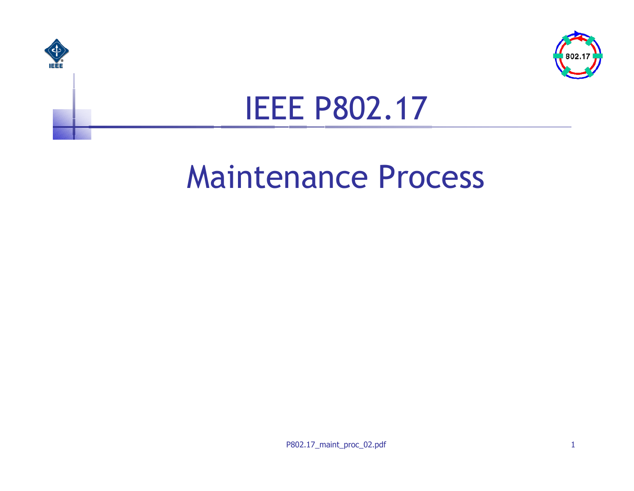



#### IEEE P802.17

#### Maintenance Process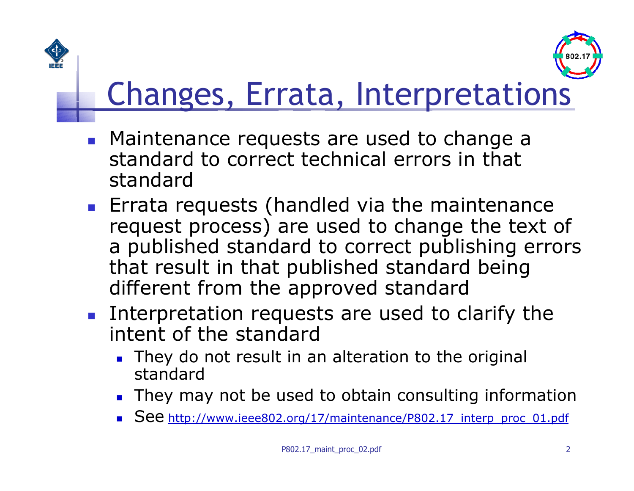



# Changes, Errata, Interpretations

- **Maintenance requests are used to change a** standard to correct technical errors in that standard
- **Errata requests (handled via the maintenance** request process) are used to change the text of a published standard to correct publishing errors that result in that published standard being different from the approved standard
- **Interpretation requests are used to clarify the** intent of the standard
	- They do not result in an alteration to the original standard
	- **They may not be used to obtain consulting information**
	- See http://ww[w.ieee802.org/17/maint](http://www.ieee802.org/17/maintenance/P802.17_interp_proc_01.pdf)enance/P802.17\_interp\_proc\_01.pdf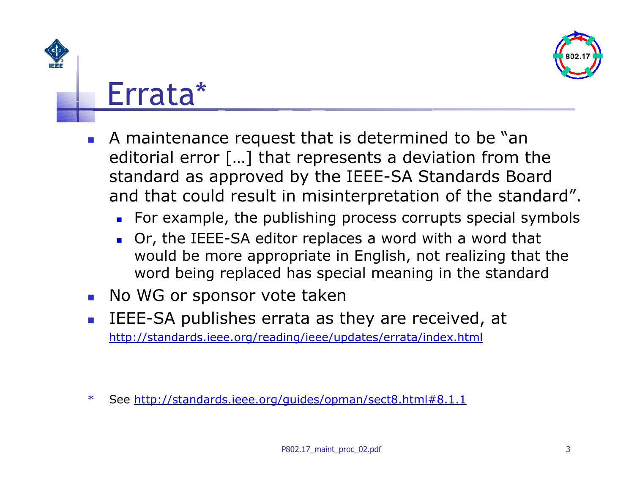

#### Errata\*

- F. A maintenance request that is determined to be "an editorial error […] that represents a deviation from the standard as approved by the IEEE-SA Standards Board and that could result in misinterpretation of the standard".
	- **EXECT EXAMPLE**, the publishing process corrupts special symbols
	- Or, the IEEE-SA editor replaces a word with a word that would be more appropriate in English, not realizing that the word being replaced has speci al meaning i n the standard
- $\mathcal{L}_{\mathcal{A}}$ No WG or sponsor vote taken
- L, IEEE-SA publishes errata as they are received, at <http://standards.ieee.org/reading/ieee/updates/errata/index.html>

\*See [http://standards.ieee.org/guides/opman/sect8.html#8.1.1](http://standards.ieee.org/guides/opman/sect8.html)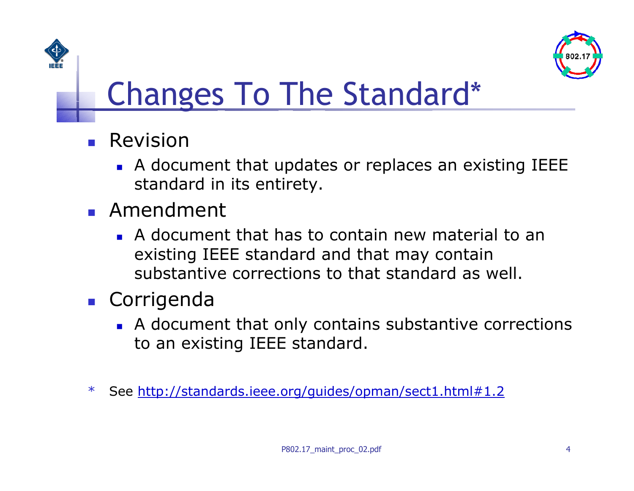

# Changes To The Standard\*

- $\blacksquare$  Revision
	- A document that updates or replaces an existin g IEEE standard in its entirety.
- Amendment
	- A document that has to contain new material to an existing IEEE standard and that may contain substantive corrections to that standard as well.
- Corrigenda
	- **A** document that only contains substantive corrections to an existing IEEE standard.
- \*See [http://standards.ieee.org/guides/opman/sect1.html#1.2](http://standards.ieee.org/guides/opman/sect1.html)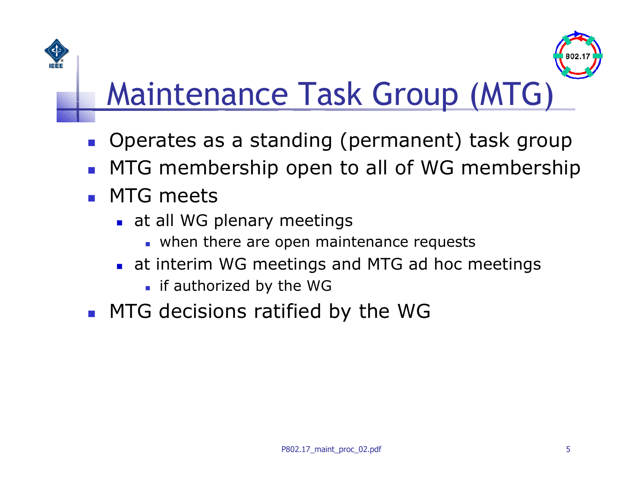

## Maintenance Task Group (MTG)

- $\mathcal{L}^{\text{max}}$ Operates as a standing (permanent) task group
- $\left\vert \cdot \right\vert$ MTG membership open to all of WG membership
- $\overline{\phantom{a}}$  MTG meets
	- **at all WG plenary meetings** 
		- **u** when there are open maintenance requests
	- at interim WG meetings and M TG ad hoc meetings
		- **i** if authorized by the WG
- **MTG decisions ratified by the WG**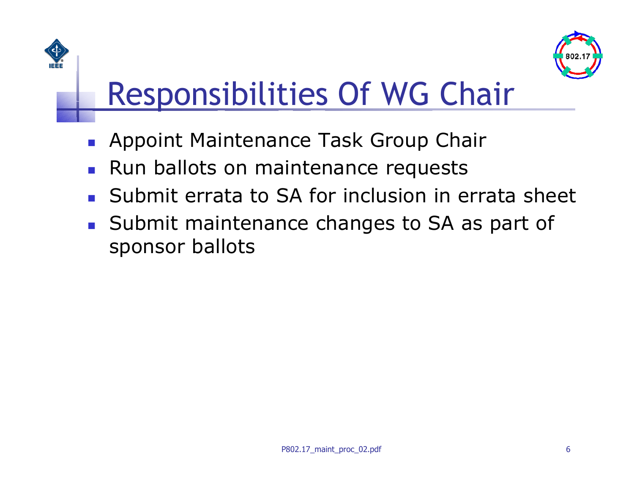

# Responsibilities Of WG Chair

- $\overline{\phantom{a}}$ Appoint Maintenance Task Group Chair
- $\overline{\phantom{a}}$ Run ballots on maintenance requests
- $\overline{\phantom{a}}$ Submit errata to SA for inclusion in errata sheet
- **Submit maintenance changes to SA as part of** sponsor ballots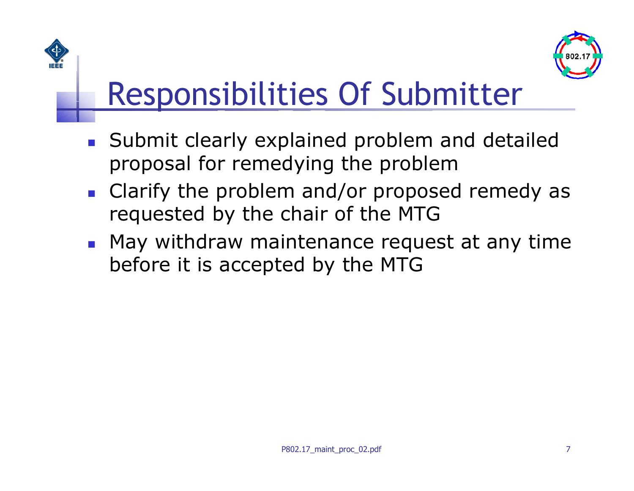

# Responsibilities Of Submitter

- **Submit clearly explained problem and detailed** proposal for remedying the problem
- **Clarify the problem and/or proposed remedy as** requested by the chair of the MTG
- **May withdraw maintenance request at any time** before it is accepted by the MTG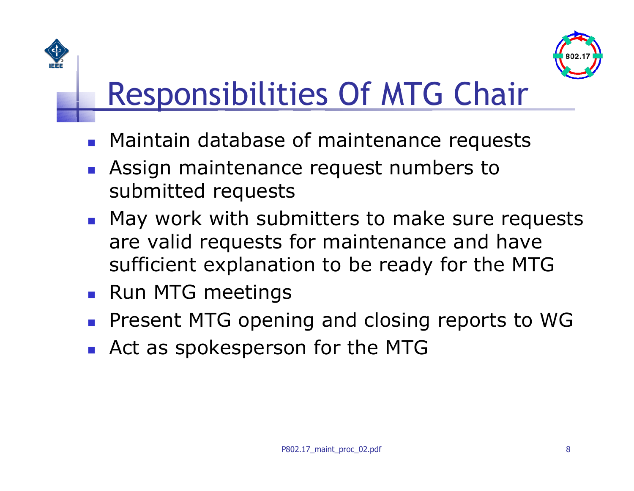

# Responsibilities Of MTG Chair

- **Maintain database of maintenance requests**
- $\mathcal{L}^{\text{max}}$  Assign maintenance request numbers to submitted requests
- **May work with submitters to make sure requests** are valid requests for maintenance and have sufficient explanation to be ready for the MTG
- **Run MTG meetings**
- $\mathcal{L}_{\mathcal{A}}$ Present MTG opening and closing reports to WG
- $\overline{\phantom{a}}$ Act as spokesperson for the MTG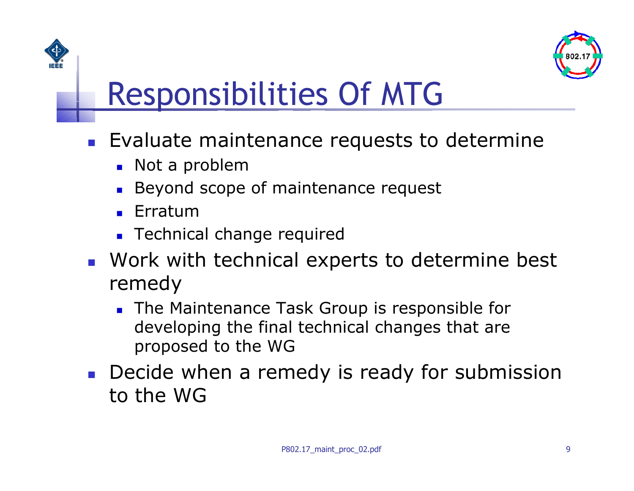

## Responsibilities Of MTG

- **Evaluate maintenance requests to determine** 
	- **Not a problem**
	- Beyond scope of maintenance request
	- П Erratum
	- **Technical change required**
- **Nork with technical experts to determine best** remedy
	- **The Maintenance Task Group is responsible for** developing the final technical changes that are proposed to the WG
- **Decide when a remedy is ready for submission** to the WG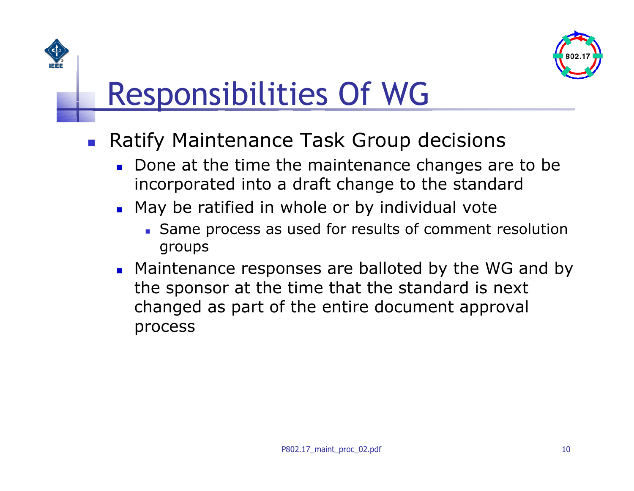

### Responsibilities Of WG

- $\mathcal{L}_{\text{max}}$  Ratify Maintenance Task Group decisions
	- Done at the time the maintenance changes are to be incorporated into a draft change to the standard
	- May be ratified in whole or by individual vote
		- S ame process as used for results of comment resolution groups
	- **EXT** Maintenance responses are balloted by the WG and by the sponsor at the time that the standard is next changed as part of the entire document approval process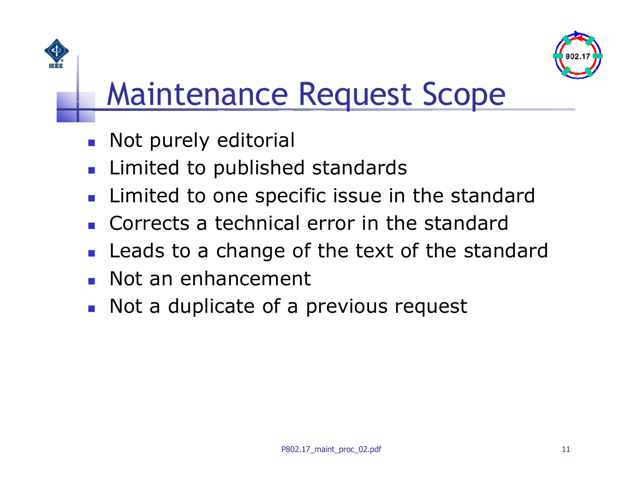



#### Maintenance Request Scope

- $\overline{\mathcal{L}}$ Not purely editorial
- $\mathcal{L}_{\mathcal{A}}$ Limited to published standards
- $\mathcal{L}_{\mathcal{A}}$ Limited to one specific issue in the standard
- $\overline{\phantom{a}}$ Corrects a technical error in the standard
- $\mathcal{L}_{\mathcal{A}}$ Leads to a change of the text of the standard
- $\overline{\phantom{a}}$ Not an enhancement
- $\mathcal{L}_{\mathcal{A}}$ Not a duplicate of a previous request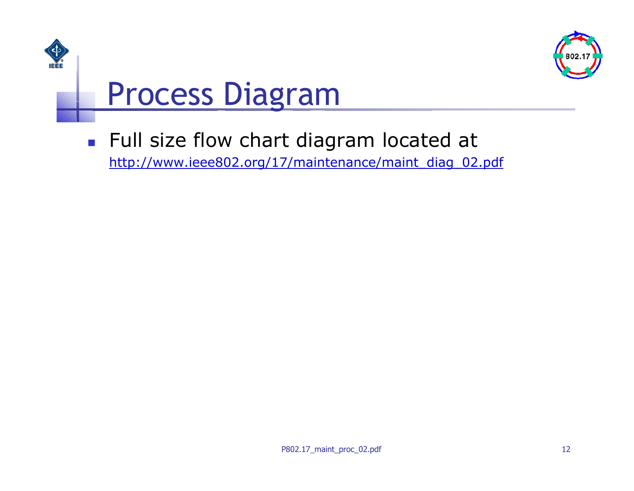



#### Process Diagram

**Full size flow chart diagram located at** http://www.ieee802.[org/17/maintenance/maint](http://www.ieee802.org/17/maintenance/maint_diag_02.pdf) diag 02.pdf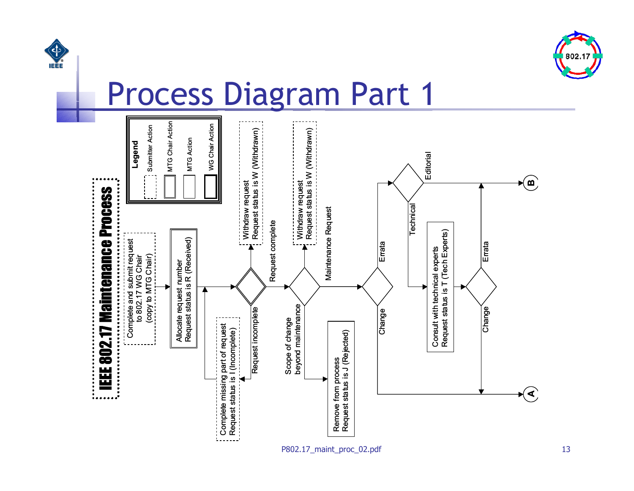



#### Process Diagram Part 1

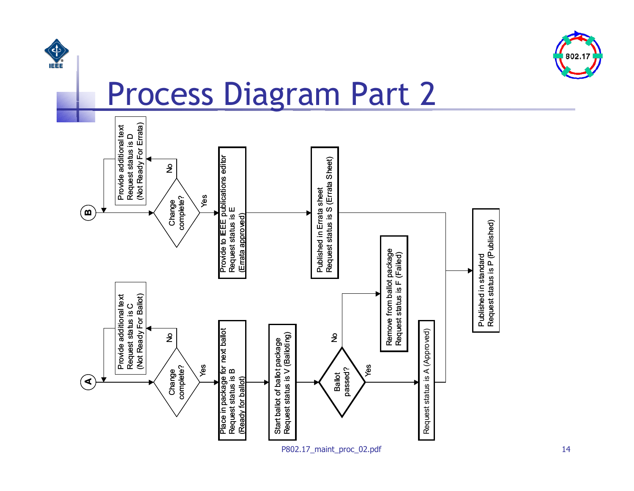



#### Process Diagram Part 2

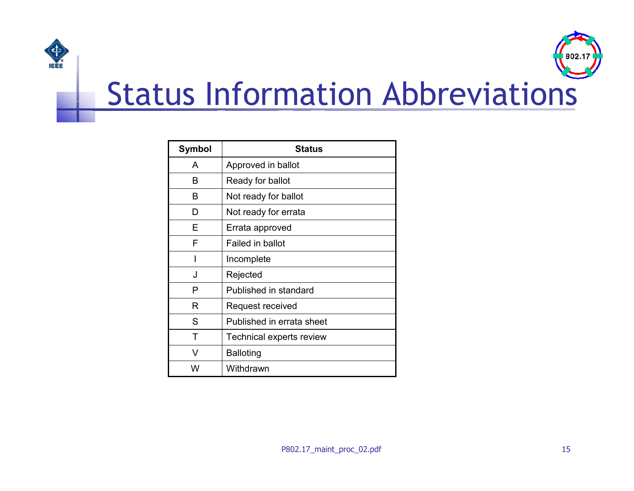



### Status Information Abbreviations

| Symbol | <b>Status</b>             |
|--------|---------------------------|
| A      | Approved in ballot        |
| B      | Ready for ballot          |
| B      | Not ready for ballot      |
| D      | Not ready for errata      |
| F      | Errata approved           |
| F      | Failed in ballot          |
| I      | Incomplete                |
| J      | Rejected                  |
| Р      | Published in standard     |
| R      | Request received          |
| S      | Published in errata sheet |
| т      | Technical experts review  |
| V      | <b>Balloting</b>          |
| W      | Withdrawn                 |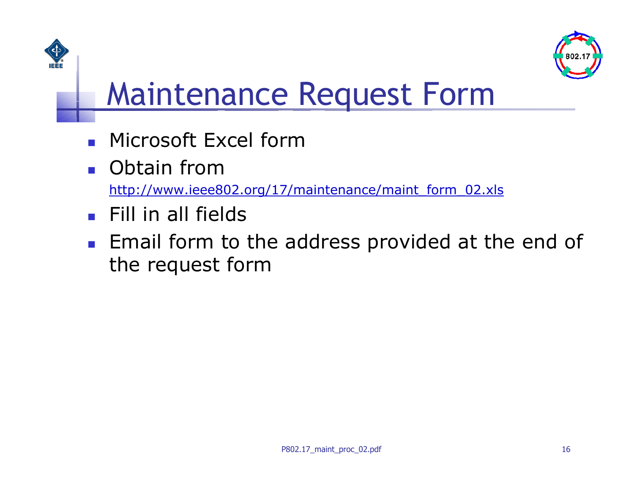



### Maintenance Request Form

- $\overline{\phantom{a}}$ Microsoft Excel form
- **D** Obtain from

http://www.ieee802. [org/17/maintenance/maint](http://www.ieee802.org/17/maintenance/maint_form_02.xls) \_form\_02.xls

- $\mathcal{L}_{\mathcal{A}}$ Fill in all fields
- **Email form to the address provided at the end of** the request form